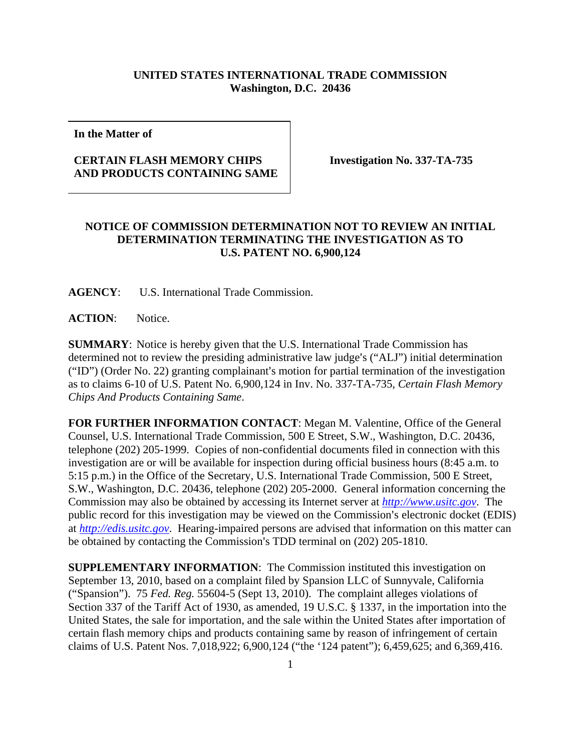## **UNITED STATES INTERNATIONAL TRADE COMMISSION Washington, D.C. 20436**

**In the Matter of** 

## **CERTAIN FLASH MEMORY CHIPS AND PRODUCTS CONTAINING SAME**

**Investigation No. 337-TA-735** 

## **NOTICE OF COMMISSION DETERMINATION NOT TO REVIEW AN INITIAL DETERMINATION TERMINATING THE INVESTIGATION AS TO U.S. PATENT NO. 6,900,124**

**AGENCY**: U.S. International Trade Commission.

**ACTION**: Notice.

**SUMMARY**: Notice is hereby given that the U.S. International Trade Commission has determined not to review the presiding administrative law judge's ("ALJ") initial determination ("ID") (Order No. 22) granting complainant's motion for partial termination of the investigation as to claims 6-10 of U.S. Patent No. 6,900,124 in Inv. No. 337-TA-735, *Certain Flash Memory Chips And Products Containing Same*.

**FOR FURTHER INFORMATION CONTACT**: Megan M. Valentine, Office of the General Counsel, U.S. International Trade Commission, 500 E Street, S.W., Washington, D.C. 20436, telephone (202) 205-1999. Copies of non-confidential documents filed in connection with this investigation are or will be available for inspection during official business hours (8:45 a.m. to 5:15 p.m.) in the Office of the Secretary, U.S. International Trade Commission, 500 E Street, S.W., Washington, D.C. 20436, telephone (202) 205-2000. General information concerning the Commission may also be obtained by accessing its Internet server at *http://www.usitc.gov*. The public record for this investigation may be viewed on the Commission's electronic docket (EDIS) at *http://edis.usitc.gov*. Hearing-impaired persons are advised that information on this matter can be obtained by contacting the Commission's TDD terminal on (202) 205-1810.

**SUPPLEMENTARY INFORMATION:** The Commission instituted this investigation on September 13, 2010, based on a complaint filed by Spansion LLC of Sunnyvale, California ("Spansion"). 75 *Fed. Reg.* 55604-5 (Sept 13, 2010). The complaint alleges violations of Section 337 of the Tariff Act of 1930, as amended, 19 U.S.C. § 1337, in the importation into the United States, the sale for importation, and the sale within the United States after importation of certain flash memory chips and products containing same by reason of infringement of certain claims of U.S. Patent Nos. 7,018,922; 6,900,124 ("the '124 patent"); 6,459,625; and 6,369,416.